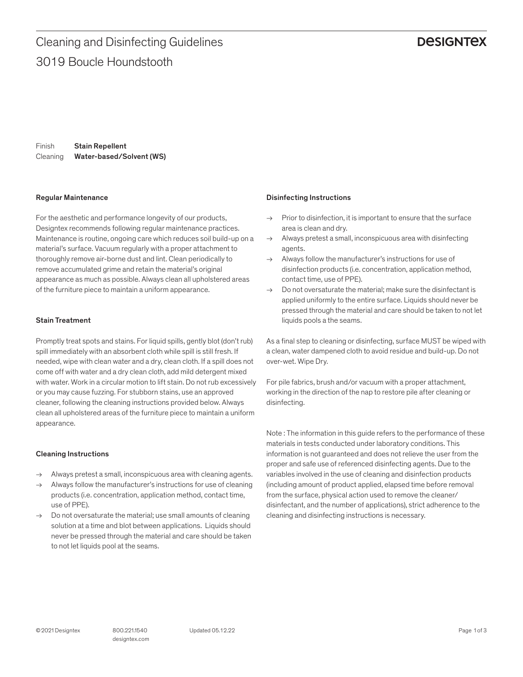3019 Boucle Houndstooth Cleaning and Disinfecting Guidelines

### **DESIGNTEX**

Finish Cleaning Stain Repellent Water-based/Solvent (WS)

#### Regular Maintenance

For the aesthetic and performance longevity of our products, Designtex recommends following regular maintenance practices. Maintenance is routine, ongoing care which reduces soil build-up on a material's surface. Vacuum regularly with a proper attachment to thoroughly remove air-borne dust and lint. Clean periodically to remove accumulated grime and retain the material's original appearance as much as possible. Always clean all upholstered areas of the furniture piece to maintain a uniform appearance.

#### Stain Treatment

Promptly treat spots and stains. For liquid spills, gently blot (don't rub) spill immediately with an absorbent cloth while spill is still fresh. If needed, wipe with clean water and a dry, clean cloth. If a spill does not come off with water and a dry clean cloth, add mild detergent mixed with water. Work in a circular motion to lift stain. Do not rub excessively or you may cause fuzzing. For stubborn stains, use an approved cleaner, following the cleaning instructions provided below. Always clean all upholstered areas of the furniture piece to maintain a uniform appearance.

#### Cleaning Instructions

- → Always pretest a small, inconspicuous area with cleaning agents.
- Always follow the manufacturer's instructions for use of cleaning products (i.e. concentration, application method, contact time, use of PPE).
- $\rightarrow$  Do not oversaturate the material; use small amounts of cleaning solution at a time and blot between applications. Liquids should never be pressed through the material and care should be taken to not let liquids pool at the seams.

#### Disinfecting Instructions

- $\rightarrow$  Prior to disinfection, it is important to ensure that the surface area is clean and dry.
- $\rightarrow$  Always pretest a small, inconspicuous area with disinfecting agents.
- $\rightarrow$  Always follow the manufacturer's instructions for use of disinfection products (i.e. concentration, application method, contact time, use of PPE).
- $\rightarrow$  Do not oversaturate the material: make sure the disinfectant is applied uniformly to the entire surface. Liquids should never be pressed through the material and care should be taken to not let liquids pools a the seams.

As a final step to cleaning or disinfecting, surface MUST be wiped with a clean, water dampened cloth to avoid residue and build-up. Do not over-wet. Wipe Dry.

For pile fabrics, brush and/or vacuum with a proper attachment, working in the direction of the nap to restore pile after cleaning or disinfecting.

Note : The information in this guide refers to the performance of these materials in tests conducted under laboratory conditions. This information is not guaranteed and does not relieve the user from the proper and safe use of referenced disinfecting agents. Due to the variables involved in the use of cleaning and disinfection products (including amount of product applied, elapsed time before removal from the surface, physical action used to remove the cleaner/ disinfectant, and the number of applications), strict adherence to the cleaning and disinfecting instructions is necessary.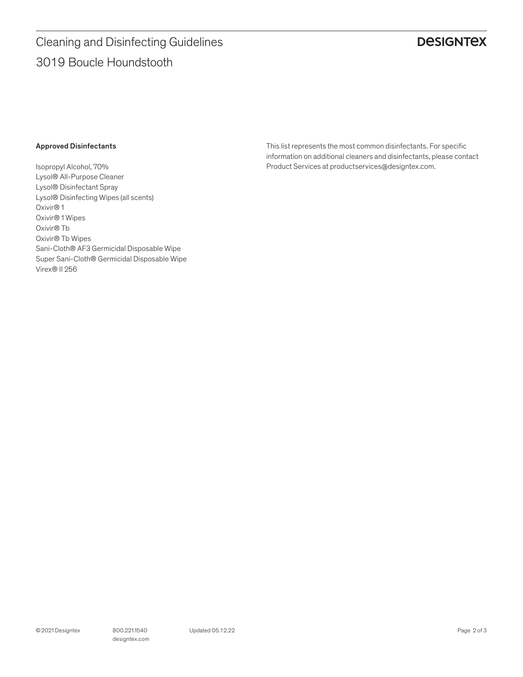# 3019 Boucle Houndstooth Cleaning and Disinfecting Guidelines

## **DESIGNTEX**

#### Approved Disinfectants

Isopropyl Alcohol, 70% Lysol® All-Purpose Cleaner Lysol® Disinfectant Spray Lysol® Disinfecting Wipes (all scents) Oxivir® 1 Oxivir® 1 Wipes Oxivir® Tb Oxivir® Tb Wipes Sani-Cloth® AF3 Germicidal Disposable Wipe Super Sani-Cloth® Germicidal Disposable Wipe Virex® II 256

This list represents the most common disinfectants. For specific information on additional cleaners and disinfectants, please contact Product Services at productservices@designtex.com.